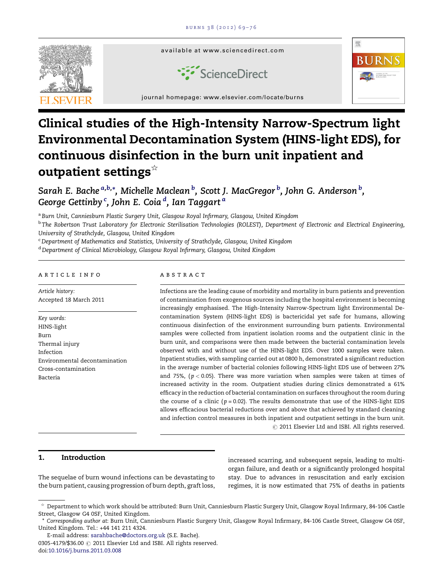

# Clinical studies of the High-Intensity Narrow-Spectrum light Environmental Decontamination System (HINS-light EDS), for continuous disinfection in the burn unit inpatient and outpatient settings $\hat{z}$

Sarah E. Bache<sup>a,b,</sup>\*, Michelle Maclean <sup>b</sup>, Scott J. MacGregor <sup>b</sup>, John G. Anderson <sup>b</sup>, George Gettinby  $\lq$ , John E. Coia  $\lq$ , Ian Taggart  $\lq$ 

<sup>a</sup> Burn Unit, Canniesburn Plastic Surgery Unit, Glasgow Royal Infirmary, Glasgow, United Kingdom

<sup>b</sup> The Robertson Trust Laboratory for Electronic Sterilisation Technologies (ROLEST), Department of Electronic and Electrical Engineering, University of Strathclyde, Glasgow, United Kingdom

<sup>c</sup> Department of Mathematics and Statistics, University of Strathclyde, Glasgow, United Kingdom

<sup>d</sup> Department of Clinical Microbiology, Glasgow Royal Infirmary, Glasgow, United Kingdom

## a r t i c l e i n f o

Article history: Accepted 18 March 2011

Key words: HINS-light Burn Thermal injury Infection Environmental decontamination Cross-contamination Bacteria

#### A B S T R A C T

Infections are the leading cause of morbidity and mortality in burn patients and prevention of contamination from exogenous sources including the hospital environment is becoming increasingly emphasised. The High-Intensity Narrow-Spectrum light Environmental Decontamination System (HINS-light EDS) is bactericidal yet safe for humans, allowing continuous disinfection of the environment surrounding burn patients. Environmental samples were collected from inpatient isolation rooms and the outpatient clinic in the burn unit, and comparisons were then made between the bacterial contamination levels observed with and without use of the HINS-light EDS. Over 1000 samples were taken. Inpatient studies, with sampling carried out at 0800 h, demonstrated a significant reduction in the average number of bacterial colonies following HINS-light EDS use of between 27% and 75%, ( $p < 0.05$ ). There was more variation when samples were taken at times of increased activity in the room. Outpatient studies during clinics demonstrated a 61% efficacy in the reduction of bacterial contamination on surfaces throughout the room during the course of a clinic ( $p = 0.02$ ). The results demonstrate that use of the HINS-light EDS allows efficacious bacterial reductions over and above that achieved by standard cleaning and infection control measures in both inpatient and outpatient settings in the burn unit.  $\odot$  2011 Elsevier Ltd and ISBI. All rights reserved.

# 1. Introduction

The sequelae of burn wound infections can be devastating to the burn patient, causing progression of burn depth, graft loss, increased scarring, and subsequent sepsis, leading to multiorgan failure, and death or a significantly prolonged hospital stay. Due to advances in resuscitation and early excision regimes, it is now estimated that 75% of deaths in patients

<sup>§</sup> Department to which work should be attributed: Burn Unit, Canniesburn Plastic Surgery Unit, Glasgow Royal Infirmary, 84-106 Castle Street, Glasgow G4 0SF, United Kingdom.

<sup>\*</sup> Corresponding author at: Burn Unit, Canniesburn Plastic Surgery Unit, Glasgow Royal Infirmary, 84-106 Castle Street, Glasgow G4 0SF, United Kingdom. Tel.: +44 141 211 4324.

E-mail address: [sarahbache@doctors.org.uk](mailto:sarahbache@doctors.org.uk) (S.E. Bache).

<sup>0305-4179/\$36.00</sup>  $\oslash$  2011 Elsevier Ltd and ISBI. All rights reserved. doi[:10.1016/j.burns.2011.03.008](http://dx.doi.org/10.1016/j.burns.2011.03.008)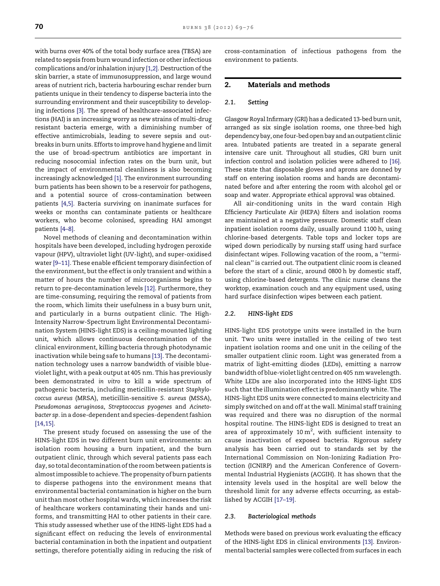with burns over 40% of the total body surface area (TBSA) are related to sepsis from burn wound infection or other infectious complications and/or inhalation injury [\[1,2\].](#page-6-0) Destruction of the skin barrier, a state of immunosuppression, and large wound areas of nutrient rich, bacteria harbouring eschar render burn patients unique in their tendency to disperse bacteria into the surrounding environment and their susceptibility to developing infections [\[3\]](#page-6-0). The spread of healthcare-associated infections (HAI) is an increasing worry as new strains of multi-drug resistant bacteria emerge, with a diminishing number of effective antimicrobials, leading to severe sepsis and outbreaks in burn units. Efforts to improve hand hygiene and limit the use of broad-spectrum antibiotics are important in reducing nosocomial infection rates on the burn unit, but the impact of environmental cleanliness is also becoming increasingly acknowledged [\[1\]](#page-6-0). The environment surrounding burn patients has been shown to be a reservoir for pathogens, and a potential source of cross-contamination between patients [\[4,5\].](#page-6-0) Bacteria surviving on inanimate surfaces for weeks or months can contaminate patients or healthcare workers, who become colonised, spreading HAI amongst patients [\[4–8\]](#page-6-0).

Novel methods of cleaning and decontamination within hospitals have been developed, including hydrogen peroxide vapour (HPV), ultraviolet light (UV-light), and super-oxidised water [\[9–11\]](#page-6-0). These enable efficient temporary disinfection of the environment, but the effect is only transient and within a matter of hours the number of microorganisms begins to return to pre-decontamination levels [\[12\].](#page-6-0) Furthermore, they are time-consuming, requiring the removal of patients from the room, which limits their usefulness in a busy burn unit, and particularly in a burns outpatient clinic. The High-Intensity Narrow-Spectrum light Environmental Decontamination System (HINS-light EDS) is a ceiling-mounted lighting unit, which allows continuous decontamination of the clinical environment, killing bacteria through photodynamic inactivation while being safe to humans [\[13\].](#page-6-0) The decontamination technology uses a narrow bandwidth of visible blueviolet light, with a peak output at 405 nm. This has previously been demonstrated in vitro to kill a wide spectrum of pathogenic bacteria, including meticillin-resistant Staphylococcus aureus (MRSA), meticillin-sensitive S. aureus (MSSA), Pseudomonas aeruginosa, Streptococcus pyogenes and Acinetobacter sp. in a dose-dependent and species-dependent fashion [\[14,15\].](#page-6-0)

The present study focused on assessing the use of the HINS-light EDS in two different burn unit environments: an isolation room housing a burn inpatient, and the burn outpatient clinic, through which several patients pass each day, so total decontamination of the room between patients is almostimpossible to achieve. The propensity of burn patients to disperse pathogens into the environment means that environmental bacterial contamination is higher on the burn unit than most other hospital wards, which increases the risk of healthcare workers contaminating their hands and uniforms, and transmitting HAI to other patients in their care. This study assessed whether use of the HINS-light EDS had a significant effect on reducing the levels of environmental bacterial contamination in both the inpatient and outpatient settings, therefore potentially aiding in reducing the risk of

cross-contamination of infectious pathogens from the environment to patients.

## 2. Materials and methods

#### 2.1. Setting

Glasgow Royal Infirmary (GRI) has a dedicated 13-bed burn unit, arranged as six single isolation rooms, one three-bed high dependencybay,one four-bedopenbay andanoutpatient clinic area. Intubated patients are treated in a separate general intensive care unit. Throughout all studies, GRI burn unit infection control and isolation policies were adhered to [\[16\]](#page-6-0). These state that disposable gloves and aprons are donned by staff on entering isolation rooms and hands are decontaminated before and after entering the room with alcohol gel or soap and water. Appropriate ethical approval was obtained.

All air-conditioning units in the ward contain High Efficiency Particulate Air (HEPA) filters and isolation rooms are maintained at a negative pressure. Domestic staff clean inpatient isolation rooms daily, usually around 1100 h, using chlorine-based detergents. Table tops and locker tops are wiped down periodically by nursing staff using hard surface disinfectant wipes. Following vacation of the room, a ''terminal clean'' is carried out. The outpatient clinic room is cleaned before the start of a clinic, around 0800 h by domestic staff, using chlorine-based detergents. The clinic nurse cleans the worktop, examination couch and any equipment used, using hard surface disinfection wipes between each patient.

#### 2.2. HINS-light EDS

HINS-light EDS prototype units were installed in the burn unit. Two units were installed in the ceiling of two test inpatient isolation rooms and one unit in the ceiling of the smaller outpatient clinic room. Light was generated from a matrix of light-emitting diodes (LEDs), emitting a narrow bandwidth of blue-violet light centred on 405 nm wavelength. White LEDs are also incorporated into the HINS-light EDS such that the illumination effect is predominantly white. The HINS-light EDS units were connected to mains electricity and simply switched on and off at the wall. Minimal staff training was required and there was no disruption of the normal hospital routine. The HINS-light EDS is designed to treat an area of approximately 10 $m^2$ , with sufficient intensity to cause inactivation of exposed bacteria. Rigorous safety analysis has been carried out to standards set by the International Commission on Non-Ionizing Radiation Protection (ICNIRP) and the American Conference of Governmental Industrial Hygienists (ACGIH). It has shown that the intensity levels used in the hospital are well below the threshold limit for any adverse effects occurring, as established by ACGIH [\[17–19\].](#page-6-0)

#### 2.3. Bacteriological methods

Methods were based on previous work evaluating the efficacy of the HINS-light EDS in clinical environments [\[13\].](#page-6-0) Environmental bacterial samples were collected from surfaces in each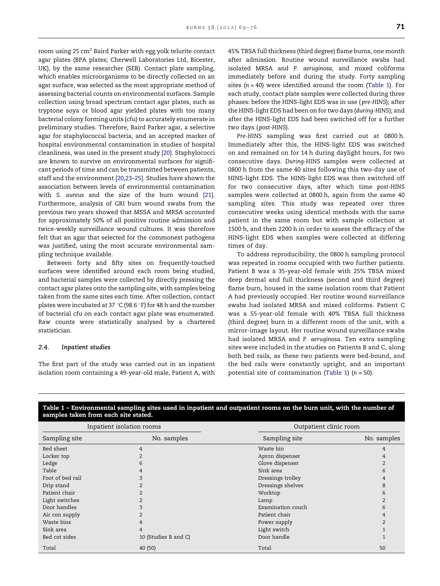<span id="page-2-0"></span>room using 25 cm<sup>2</sup> Baird Parker with egg yolk telurite contact agar plates (BPA plates; Cherwell Laboratories Ltd, Bicester, UK), by the same researcher (SEB). Contact plate sampling, which enables microorganisms to be directly collected on an agar surface, was selected as the most appropriate method of assessing bacterial counts on environmental surfaces. Sample collection using broad spectrum contact agar plates, such as tryptone soya or blood agar yielded plates with too many bacterial colony forming units (cfu) to accurately enumerate in preliminary studies. Therefore, Baird Parker agar, a selective agar for staphylococcal bacteria, and an accepted marker of hospital environmental contamination in studies of hospital cleanliness, was used in the present study [\[20\].](#page-7-0) Staphylococci are known to survive on environmental surfaces for significant periods of time and can be transmitted between patients, staff and the environment [\[20,23–25\].](#page-7-0) Studies have shown the association between levels of environmental contamination with S. aureus and the size of the burn wound [\[21\].](#page-7-0) Furthermore, analysis of GRI burn wound swabs from the previous two years showed that MSSA and MRSA accounted for approximately 50% of all positive routine admission and twice-weekly surveillance wound cultures. It was therefore felt that an agar that selected for the commonest pathogens was justified, using the most accurate environmental sampling technique available.

Between forty and fifty sites on frequently-touched surfaces were identified around each room being studied, and bacterial samples were collected by directly pressing the contact agar plates onto the sampling site, with samples being taken from the same sites each time. After collection, contact plates were incubated at 37 °C (98.6 °F) for 48 h and the number of bacterial cfu on each contact agar plate was enumerated. Raw counts were statistically analysed by a chartered statistician.

#### 2.4. Inpatient studies

The first part of the study was carried out in an inpatient isolation room containing a 49-year-old male, Patient A, with 45% TBSA full thickness (third degree) flame burns, one month after admission. Routine wound surveillance swabs had isolated MRSA and P. aeruginosa, and mixed coliforms immediately before and during the study. Forty sampling sites  $(n = 40)$  were identified around the room (Table 1). For each study, contact plate samples were collected during three phases: before the HINS-light EDS was in use ( pre-HINS); after the HINS-light EDS had been on for two days (during-HINS); and after the HINS-light EDS had been switched off for a further two days ( post-HINS).

Pre-HINS sampling was first carried out at 0800 h. Immediately after this, the HINS-light EDS was switched on and remained on for 14 h during daylight hours, for two consecutive days. During-HINS samples were collected at 0800 h from the same 40 sites following this two-day use of HINS-light EDS. The HINS-light EDS was then switched off for two consecutive days, after which time post-HINS samples were collected at 0800 h, again from the same 40 sampling sites. This study was repeated over three consecutive weeks using identical methods with the same patient in the same room but with sample collection at 1500 h, and then 2200 h in order to assess the efficacy of the HINS-light EDS when samples were collected at differing times of day.

To address reproducibility, the 0800 h sampling protocol was repeated in rooms occupied with two further patients. Patient B was a 35-year-old female with 25% TBSA mixed deep dermal and full thickness (second and third degree) flame burn, housed in the same isolation room that Patient A had previously occupied. Her routine wound surveillance swabs had isolated MRSA and mixed coliforms. Patient C was a 55-year-old female with 40% TBSA full thickness (third degree) burn in a different room of the unit, with a mirror-image layout. Her routine wound surveillance swabs had isolated MRSA and P. aeruginosa. Ten extra sampling sites were included in the studies on Patients B and C, along both bed rails, as these two patients were bed-bound, and the bed rails were constantly upright, and an important potential site of contamination (Table 1)  $(n = 50)$ .

|                  | Inpatient isolation rooms | Outpatient clinic room |                |  |  |
|------------------|---------------------------|------------------------|----------------|--|--|
| Sampling site    | No. samples               | Sampling site          | No. samples    |  |  |
| Bed sheet        | 4                         | Waste bin              |                |  |  |
| Locker top       | 2                         | Apron dispenser        | 4              |  |  |
| Ledge            | 6                         | Glove dispenser        | $\overline{2}$ |  |  |
| Table            | 4                         | Sink area              | 6              |  |  |
| Foot of bed rail | 3                         | Dressings trolley      |                |  |  |
| Drip stand       | 2                         | Dressings shelves      | 8              |  |  |
| Patient chair    | 2                         | Worktop                | 6              |  |  |
| Light switches   | $\overline{2}$            | Lamp                   |                |  |  |
| Door handles     | 3                         | Examination couch      | 6              |  |  |
| Air con supply   | 2                         | Patient chair          | 4              |  |  |
| Waste bins       | 4                         | Power supply           | $\overline{2}$ |  |  |
| Sink area        | 4                         | Light switch           |                |  |  |
| Bed cot sides    | 10 (Studies B and C)      | Door handle            |                |  |  |
| Total            | 40 (50)                   | Total                  | 50             |  |  |

Table 1 – Environmental sampling sites used in inpatient and outpatient rooms on the burn unit, with the number of samples taken from each site stated.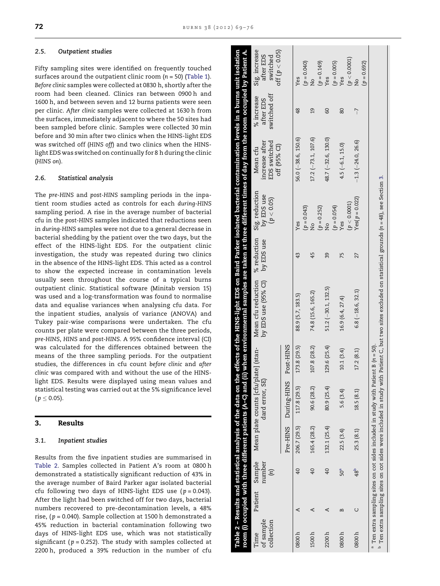#### 2.5. Outpatient studies

Fifty sampling sites were identified on frequently touched surfaces around the outpatient clinic room ( $n = 50$ ) ([Table](#page-2-0) 1). Before clinic samples were collected at 0830 h, shortly after the room had been cleaned. Clinics ran between 0900 h and 1600 h, and between seven and 12 burns patients were seen per clinic. After clinic samples were collected at 1630 h from the surfaces, immediately adjacent to where the 50 sites had been sampled before clinic. Samples were collected 30 min before and 30 min after two clinics when the HINS-light EDS was switched off (HINS off) and two clinics when the HINSlight EDS was switched on continually for 8 h during the clinic (HINS on).

## 2.6. Statistical analysis

The pre-HINS and post-HINS sampling periods in the inpatient room studies acted as controls for each during-HINS sampling period. A rise in the average number of bacterial cfu in the post-HINS samples indicated that reductions seen in during-HINS samples were not due to a general decrease in bacterial shedding by the patient over the two days, but the effect of the HINS-light EDS. For the outpatient clinic investigation, the study was repeated during two clinics in the absence of the HINS-light EDS. This acted as a control to show the expected increase in contamination levels usually seen throughout the course of a typical burns outpatient clinic. Statistical software (Minitab version 15) was used and a log-transformation was found to normalise data and equalise variances when analysing cfu data. For the inpatient studies, analysis of variance (ANOVA) and Tukey pair-wise comparisons were undertaken. The cfu counts per plate were compared between the three periods, pre-HINS, HINS and post-HINS. A 95% confidence interval (CI) was calculated for the differences obtained between the means of the three sampling periods. For the outpatient studies, the differences in cfu count before clinic and after clinic was compared with and without the use of the HINSlight EDS. Results were displayed using mean values and statistical testing was carried out at the 5% significance level  $(p \le 0.05)$ .

# 3. Results

## 3.1. Inpatient studies

Results from the five inpatient studies are summarised in Table 2. Samples collected in Patient A's room at 0800 h demonstrated a statistically significant reduction of 43% in the average number of Baird Parker agar isolated bacterial cfu following two days of HINS-light EDS use ( $p = 0.043$ ). After the light had been switched off for two days, bacterial numbers recovered to pre-decontamination levels, a 48% rise, ( $p = 0.040$ ). Sample collection at 1500 h demonstrated a 45% reduction in bacterial contamination following two days of HINS-light EDS use, which was not statistically significant ( $p = 0.252$ ). The study with samples collected at 2200 h, produced a 39% reduction in the number of cfu

|                                 |              |                                                  |              | Table 2 – Results and statistical analysis of the data on the                                                                                                                 |              | (i) occupied with three different patients (A–C) and (ii) when environmental samples are taken at three different times of day from the room occupied by Patient A.<br>effects of the HINS-light EDS on Baird Parker isolated bacterial contamination levels in a burns unit isolation |            |                                            |                                                            |                                         |                                                            |
|---------------------------------|--------------|--------------------------------------------------|--------------|-------------------------------------------------------------------------------------------------------------------------------------------------------------------------------|--------------|----------------------------------------------------------------------------------------------------------------------------------------------------------------------------------------------------------------------------------------------------------------------------------------|------------|--------------------------------------------|------------------------------------------------------------|-----------------------------------------|------------------------------------------------------------|
| of sample<br>collection<br>Time |              | Patient Sample<br>number<br>$\widehat{\epsilon}$ |              | Mean plate counts [cfu/plate] (stan-<br>dard error, SE)                                                                                                                       |              | Mean cfu reduction % reduction<br>by EDS use (95% CI)                                                                                                                                                                                                                                  | by EDS use | Sig. reduction<br>by EDS use<br>(p < 0.05) | increase after<br>EDS switched<br>off (95% CI)<br>Mean cfu | switched off<br>% increase<br>after EDS | Sig. increase<br>off $(p < 0.05)$<br>after EDS<br>switched |
|                                 |              |                                                  |              | Pre-HINS During-HINS                                                                                                                                                          | Post-HINS    |                                                                                                                                                                                                                                                                                        |            |                                            |                                                            |                                         |                                                            |
| 0800h                           | ⋖            | $\overline{0}$                                   | 206.7 (29.5) | 117.8 (29.5)                                                                                                                                                                  | 173.8 (29.5) | 88.9 (5.7, 183.5)                                                                                                                                                                                                                                                                      | 43         | Yes                                        | 56.0 (-38.6, 150.6)                                        | 48                                      | Yes                                                        |
|                                 |              |                                                  |              |                                                                                                                                                                               |              |                                                                                                                                                                                                                                                                                        |            | $(p = 0.043)$                              |                                                            |                                         | $(p = 0.040)$                                              |
| 1500h                           | ⋖            | 40                                               | 165.4 (28.2) | 90.6 (28.2)                                                                                                                                                                   | 107.8 (28.2) | 74.8 (15.6, 165.2)                                                                                                                                                                                                                                                                     | 45         | $\frac{1}{2}$                              | $17.2$ ( $-73.1$ , $107.6$ )                               | $\overline{61}$                         | $\frac{1}{2}$                                              |
|                                 |              |                                                  |              |                                                                                                                                                                               |              |                                                                                                                                                                                                                                                                                        |            | $(p = 0.252)$                              |                                                            |                                         | $(p = 0.149)$                                              |
| 2200h                           | ⋖            | $\overline{6}$                                   | 132.1 (25.4) | 80.9 (25.4)                                                                                                                                                                   | 129.6 (25.4) | $51.2(-30.1, 132.5)$                                                                                                                                                                                                                                                                   | 39         | $\frac{1}{2}$                              | 48.7 (-32.6, 130.0)                                        | 8                                       | Yes                                                        |
|                                 |              |                                                  |              |                                                                                                                                                                               |              |                                                                                                                                                                                                                                                                                        |            | $(p = 0.054)$                              |                                                            |                                         | $(p = 0.005)$                                              |
| 0800h                           | $\mathbf{a}$ | 50 <sup>a</sup>                                  | 22.5 (3.4)   | 5.6 (3.4)                                                                                                                                                                     | 10.1(3.4)    | 16.9(6.4, 27.4)                                                                                                                                                                                                                                                                        | 75         | Yes                                        | $4.5(-6.1, 15.0)$                                          | 80                                      | Yes                                                        |
|                                 |              |                                                  |              |                                                                                                                                                                               |              |                                                                                                                                                                                                                                                                                        |            | (p < 0.0001)                               |                                                            |                                         | (p < 0.0001)                                               |
| 0800h                           | U            | 48 <sup>b</sup>                                  | 25.3 (8.1)   | 18.5(8.1)                                                                                                                                                                     | 17.2(8.1)    | $6.8(-18.6, 32.1)$                                                                                                                                                                                                                                                                     | 27         | $Yes(p = 0.022)$                           | $-1.3$ $(-24.0, 26.6)$                                     | $\overline{z}$                          | $\overline{a}$                                             |
|                                 |              |                                                  |              |                                                                                                                                                                               |              |                                                                                                                                                                                                                                                                                        |            |                                            |                                                            |                                         | $(p = 0.692)$                                              |
|                                 |              |                                                  |              | $^{\rm a}$ Ten extra sampling sites on cot sides included in study with Patient B (n = 50).<br><sup>b</sup> Ten extra sampling sites on cot sides were included in study with |              | Patient C, but two sites excluded on statistical grounds (n = 48), see Section 3.                                                                                                                                                                                                      |            |                                            |                                                            |                                         |                                                            |
|                                 |              |                                                  |              |                                                                                                                                                                               |              |                                                                                                                                                                                                                                                                                        |            |                                            |                                                            |                                         |                                                            |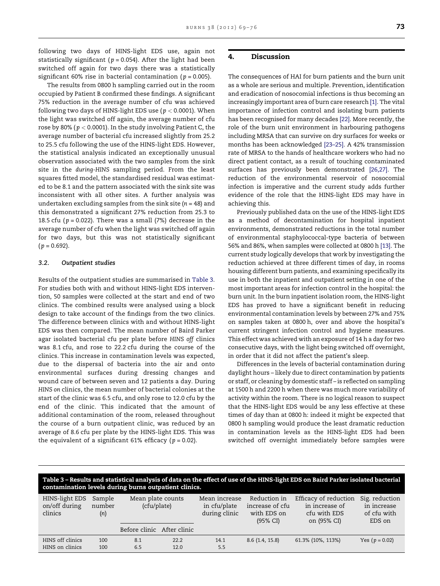following two days of HINS-light EDS use, again not statistically significant ( $p = 0.054$ ). After the light had been switched off again for two days there was a statistically significant 60% rise in bacterial contamination ( $p = 0.005$ ).

The results from 0800 h sampling carried out in the room occupied by Patient B confirmed these findings. A significant 75% reduction in the average number of cfu was achieved following two days of HINS-light EDS use ( $p < 0.0001$ ). When the light was switched off again, the average number of cfu rose by 80% ( $p < 0.0001$ ). In the study involving Patient C, the average number of bacterial cfu increased slightly from 25.2 to 25.5 cfu following the use of the HINS-light EDS. However, the statistical analysis indicated an exceptionally unusual observation associated with the two samples from the sink site in the during-HINS sampling period. From the least squares fitted model, the standardised residual was estimated to be 8.1 and the pattern associated with the sink site was inconsistent with all other sites. A further analysis was undertaken excluding samples from the sink site ( $n = 48$ ) and this demonstrated a significant 27% reduction from 25.3 to 18.5 cfu ( $p = 0.022$ ). There was a small (7%) decrease in the average number of cfu when the light was switched off again for two days, but this was not statistically significant  $(p = 0.692)$ .

#### 3.2. Outpatient studies

Results of the outpatient studies are summarised in Table 3. For studies both with and without HINS-light EDS intervention, 50 samples were collected at the start and end of two clinics. The combined results were analysed using a block design to take account of the findings from the two clinics. The difference between clinics with and without HINS-light EDS was then compared. The mean number of Baird Parker agar isolated bacterial cfu per plate before HINS off clinics was 8.1 cfu, and rose to 22.2 cfu during the course of the clinics. This increase in contamination levels was expected, due to the dispersal of bacteria into the air and onto environmental surfaces during dressing changes and wound care of between seven and 12 patients a day. During HINS on clinics, the mean number of bacterial colonies at the start of the clinic was 6.5 cfu, and only rose to 12.0 cfu by the end of the clinic. This indicated that the amount of additional contamination of the room, released throughout the course of a burn outpatient clinic, was reduced by an average of 8.6 cfu per plate by the HINS-light EDS. This was the equivalent of a significant 61% efficacy ( $p = 0.02$ ).

## 4. Discussion

The consequences of HAI for burn patients and the burn unit as a whole are serious and multiple. Prevention, identification and eradication of nosocomial infections is thus becoming an increasingly important area of burn care research [\[1\]](#page-6-0). The vital importance of infection control and isolating burn patients has been recognised for many decades [\[22\].](#page-7-0) More recently, the role of the burn unit environment in harbouring pathogens including MRSA that can survive on dry surfaces for weeks or months has been acknowledged [\[23–25\]](#page-7-0). A 42% transmission rate of MRSA to the hands of healthcare workers who had no direct patient contact, as a result of touching contaminated surfaces has previously been demonstrated [\[26,27\].](#page-7-0) The reduction of the environmental reservoir of nosocomial infection is imperative and the current study adds further evidence of the role that the HINS-light EDS may have in achieving this.

Previously published data on the use of the HINS-light EDS as a method of decontamination for hospital inpatient environments, demonstrated reductions in the total number of environmental staphylococcal-type bacteria of between 56% and 86%, when samples were collected at 0800 h [\[13\].](#page-6-0) The current study logically develops that work by investigating the reduction achieved at three different times of day, in rooms housing different burn patients, and examining specifically its use in both the inpatient and outpatient setting in one of the most important areas for infection control in the hospital: the burn unit. In the burn inpatient isolation room, the HINS-light EDS has proved to have a significant benefit in reducing environmental contamination levels by between 27% and 75% on samples taken at 0800 h, over and above the hospital's current stringent infection control and hygiene measures. This effect was achieved with an exposure of 14 h a day for two consecutive days, with the light being switched off overnight, in order that it did not affect the patient's sleep.

Differences in the levels of bacterial contamination during daylight hours – likely due to direct contamination by patients or staff, or cleaning by domestic staff – is reflected on sampling at 1500 h and 2200 h when there was much more variability of activity within the room. There is no logical reason to suspect that the HINS-light EDS would be any less effective at these times of day than at 0800 h: indeed it might be expected that 0800 h sampling would produce the least dramatic reduction in contamination levels as the HINS-light EDS had been switched off overnight immediately before samples were

Table 3 – Results and statistical analysis of data on the effect of use of the HINS-light EDS on Baird Parker isolated bacterial contamination levels during burns outpatient clinics.

| HINS-light EDS<br>on/off during<br>clinics | Sample<br>number<br>(n) | . .<br>Mean plate counts<br>(cfu/plate) |              | Mean increase<br>in cfu/plate<br>during clinic | Reduction in<br>increase of cfu<br>with EDS on<br>$(95\% \text{ CI})$ | Efficacy of reduction<br>in increase of<br>cfu with EDS<br>on (95% CI) | Sig. reduction<br>in increase<br>of cfu with<br>EDS on |
|--------------------------------------------|-------------------------|-----------------------------------------|--------------|------------------------------------------------|-----------------------------------------------------------------------|------------------------------------------------------------------------|--------------------------------------------------------|
|                                            |                         | Before clinic After clinic              |              |                                                |                                                                       |                                                                        |                                                        |
| HINS off clinics<br>HINS on clinics        | 100<br>100              | 8.1<br>6.5                              | 22.2<br>12.0 | 14.1<br>5.5                                    | 8.6(1.4, 15.8)                                                        | 61.3% (10%, 113%)                                                      | Yes $(p = 0.02)$                                       |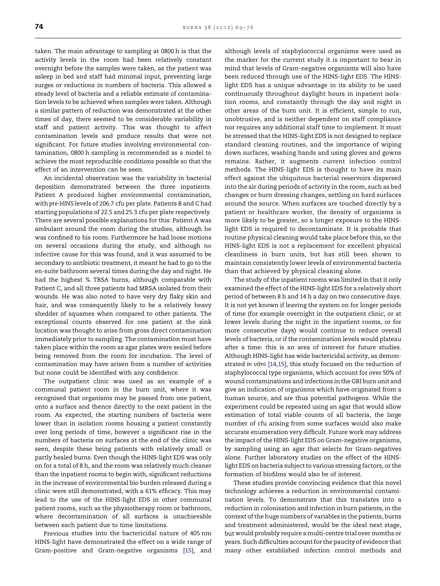taken. The main advantage to sampling at 0800 h is that the activity levels in the room had been relatively constant overnight before the samples were taken, as the patient was asleep in bed and staff had minimal input, preventing large surges or reductions in numbers of bacteria. This allowed a steady level of bacteria and a reliable estimate of contamination levels to be achieved when samples were taken. Although a similar pattern of reduction was demonstrated at the other times of day, there seemed to be considerable variability in staff and patient activity. This was thought to affect contamination levels and produce results that were not significant. For future studies involving environmental contamination, 0800 h sampling is recommended as a model to achieve the most reproducible conditions possible so that the effect of an intervention can be seen.

An incidental observation was the variability in bacterial deposition demonstrated between the three inpatients. Patient A produced higher environmental contamination, with pre-HINS levels of 206.7 cfu per plate. Patients B and C had starting populations of 22.5 and 25.3 cfu per plate respectively. There are several possible explanations for this: Patient A was ambulant around the room during the studies, although he was confined to his room. Furthermore he had loose motions on several occasions during the study, and although no infective cause for this was found, and it was assumed to be secondary to antibiotic treatment, it meant he had to go to the en-suite bathroom several times during the day and night. He had the highest % TBSA burns, although comparable with Patient C, and all three patients had MRSA isolated from their wounds. He was also noted to have very dry flaky skin and hair, and was consequently likely to be a relatively heavy shedder of squames when compared to other patients. The exceptional counts observed for one patient at the sink location was thought to arise from gross direct contamination immediately prior to sampling. The contamination must have taken place within the room as agar plates were sealed before being removed from the room for incubation. The level of contamination may have arisen from a number of activities but none could be identified with any confidence.

The outpatient clinic was used as an example of a communal patient room in the burn unit, where it was recognised that organisms may be passed from one patient, onto a surface and thence directly to the next patient in the room. As expected, the starting numbers of bacteria were lower than in isolation rooms housing a patient constantly over long periods of time, however a significant rise in the numbers of bacteria on surfaces at the end of the clinic was seen, despite these being patients with relatively small or partly healed burns. Even though the HINS-light EDS was only on for a total of 8 h, and the room was relatively much cleaner than the inpatient rooms to begin with, significant reductions in the increase of environmental bio burden released during a clinic were still demonstrated, with a 61% efficacy. This may lead to the use of the HINS-light EDS in other communal patient rooms, such as the physiotherapy room or bathroom, where decontamination of all surfaces is unachievable between each patient due to time limitations.

Previous studies into the bactericidal nature of 405 nm HINS-light have demonstrated the effect on a wide range of Gram-positive and Gram-negative organisms [\[15\]](#page-6-0), and

although levels of staphylococcal organisms were used as the marker for the current study it is important to bear in mind that levels of Gram-negative organisms will also have been reduced through use of the HINS-light EDS. The HINSlight EDS has a unique advantage in its ability to be used continuously throughout daylight hours in inpatient isolation rooms, and constantly through the day and night in other areas of the burn unit. It is efficient, simple to run, unobtrusive, and is neither dependent on staff compliance nor requires any additional staff time to implement. It must be stressed that the HINS-light EDS is not designed to replace standard cleaning routines, and the importance of wiping down surfaces, washing hands and using gloves and gowns remains. Rather, it augments current infection control methods. The HINS-light EDS is thought to have its main effect against the ubiquitous bacterial reservoirs dispersed into the air during periods of activity in the room, such as bed changes or burn dressing changes, settling on hard surfaces around the source. When surfaces are touched directly by a patient or healthcare worker, the density of organisms is more likely to be greater, so a longer exposure to the HINSlight EDS is required to decontaminate. It is probable that routine physical cleaning would take place before this, so the HINS-light EDS is not a replacement for excellent physical cleanliness in burn units, but has still been shown to maintain consistently lower levels of environmental bacteria than that achieved by physical cleaning alone.

The study of the inpatient rooms was limited in that it only examined the effect of the HINS-light EDS for a relatively short period of between 8 h and 14 h a day on two consecutive days. It is not yet known if leaving the system on for longer periods of time (for example overnight in the outpatient clinic, or at lower levels during the night in the inpatient rooms, or for more consecutive days) would continue to reduce overall levels of bacteria, or if the contamination levels would plateau after a time: this is an area of interest for future studies. Although HINS-light has wide bactericidal activity, as demonstrated in vitro [\[14,15\],](#page-6-0) this study focused on the reduction of staphylococcal type organisms, which account for over 50% of wound contaminations and infections in the GRI burn unit and give an indication of organisms which have originated from a human source, and are thus potential pathogens. While the experiment could be repeated using an agar that would allow estimation of total viable counts of all bacteria, the large number of cfu arising from some surfaces would also make accurate enumeration very difficult. Future work may address the impact of the HINS-light EDS on Gram-negative organisms, by sampling using an agar that selects for Gram-negatives alone. Further laboratory studies on the effect of the HINSlight EDS on bacteria subject to various stressing factors, or the formation of biofilms would also be of interest.

These studies provide convincing evidence that this novel technology achieves a reduction in environmental contamination levels. To demonstrate that this translates into a reduction in colonisation and infection in burn patients, in the context of the huge numbers of variables in the patients, burns and treatment administered, would be the ideal next stage, but would probably require a multi-centre trial over months or years. Such difficulties account for the paucity of evidence that many other established infection control methods and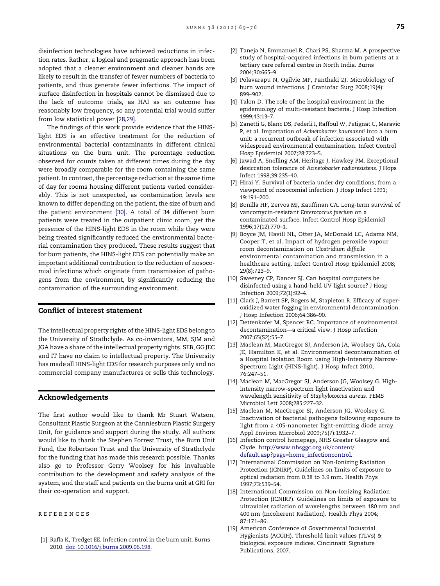<span id="page-6-0"></span>disinfection technologies have achieved reductions in infection rates. Rather, a logical and pragmatic approach has been adopted that a cleaner environment and cleaner hands are likely to result in the transfer of fewer numbers of bacteria to patients, and thus generate fewer infections. The impact of surface disinfection in hospitals cannot be dismissed due to the lack of outcome trials, as HAI as an outcome has reasonably low frequency, so any potential trial would suffer from low statistical power [\[28,29\].](#page-7-0)

The findings of this work provide evidence that the HINSlight EDS is an effective treatment for the reduction of environmental bacterial contaminants in different clinical situations on the burn unit. The percentage reduction observed for counts taken at different times during the day were broadly comparable for the room containing the same patient. In contrast, the percentage reduction at the same time of day for rooms housing different patients varied considerably. This is not unexpected, as contamination levels are known to differ depending on the patient, the size of burn and the patient environment [\[30\]](#page-7-0). A total of 34 different burn patients were treated in the outpatient clinic room, yet the presence of the HINS-light EDS in the room while they were being treated significantly reduced the environmental bacterial contamination they produced. These results suggest that for burn patients, the HINS-light EDS can potentially make an important additional contribution to the reduction of nosocomial infections which originate from transmission of pathogens from the environment, by significantly reducing the contamination of the surrounding environment.

## Conflict of interest statement

The intellectual property rights of the HINS-light EDS belong to the University of Strathclyde. As co-inventors, MM, SJM and JGA have a share of the intellectual property rights. SEB, GG JEC and IT have no claim to intellectual property. The University has made all HINS-light EDS for research purposes only and no commercial company manufactures or sells this technology.

## Acknowledgements

The first author would like to thank Mr Stuart Watson, Consultant Plastic Surgeon at the Canniesburn Plastic Surgery Unit, for guidance and support during the study. All authors would like to thank the Stephen Forrest Trust, the Burn Unit Fund, the Robertson Trust and the University of Strathclyde for the funding that has made this research possible. Thanks also go to Professor Gerry Woolsey for his invaluable contribution to the development and safety analysis of the system, and the staff and patients on the burns unit at GRI for their co-operation and support.

# r e f e r e n c e s

[1] Rafla K, Tredget EE. Infection control in the burn unit. Burns 201[0.](http://dx.doi.org/10.1016/j.burns.2009.06.198) doi: [10.1016/j.burns.2009.06.198.](http://dx.doi.org/10.1016/j.burns.2009.06.198)

- [2] Taneja N, Emmanuel R, Chari PS, Sharma M. A prospective study of hospital-acquired infections in burn patients at a tertiary care referral centre in North India. Burns 2004;30:665–9.
- [3] Polavarapu N, Ogilvie MP, Panthaki ZJ. Microbiology of burn wound infections. J Craniofac Surg 2008;19(4): 899–902.
- [4] Talon D. The role of the hospital environment in the epidemiology of multi-resistant bacteria. J Hosp Infection 1999;43:13–7.
- [5] Zanetti G, Blanc DS, Federli I, Raffoul W, Petignat C, Maravic P, et al. Importation of Acinetobacter baumannii into a burn unit: a recurrent outbreak of infection associated with widespread environmental contamination. Infect Control Hosp Epidemiol 2007;28:723–5.
- [6] Jawad A, Snelling AM, Heritage J, Hawkey PM. Exceptional desiccation tolerance of Acinetobacter radioresistens. J Hops Infect 1998;39:235–40.
- [7] Hirai Y. Survival of bacteria under dry conditions; from a viewpoint of nosocomial infection. J Hosp Infect 1991; 19:191–200.
- [8] Bonilla HF, Zervos MJ, Kauffman CA. Long-term survival of vancomycin-resistant Enterococcus faecium on a contaminated surface. Infect Control Hosp Epidemiol 1996;17(12):770–1.
- [9] Boyce JM, Havill NL, Otter JA, McDonald LC, Adams NM, Cooper T, et al. Impact of hydrogen peroxide vapour room decontamination on Clostridium difficile environmental contamination and transmission in a healthcare setting. Infect Control Hosp Epidemiol 2008; 29(8):723–9.
- [10] Sweeney CP, Dancer SJ. Can hospital computers be disinfected using a hand-held UV light source? J Hosp Infection 2009;72(1):92–4.
- [11] Clark J, Barrett SP, Rogers M, Stapleton R. Efficacy of superoxidized water fogging in environmental decontamination. J Hosp Infection 2006;64:386–90.
- [12] Dettenkofer M, Spencer RC. Importance of environmental decontamination—a critical view. J Hosp Infection 2007;65(S2):55–7.
- [13] Maclean M, MacGregor SJ, Anderson JA, Woolsey GA, Coia JE, Hamilton K, et al. Environmental decontamination of a Hospital Isolation Room using High-Intensity Narrow-Spectrum Light (HINS-light). J Hosp Infect 2010; 76:247–51.
- [14] Maclean M, MacGregor SJ, Anderson JG, Woolsey G. Highintensity narrow-spectrum light inactivation and wavelength sensitivity of Staphylococcus aureus. FEMS Microbiol Lett 2008;285:227–32.
- [15] Maclean M, MacGregor SJ, Anderson JG, Woolsey G. Inactivation of bacterial pathogens following exposure to light from a 405-nanometer light-emitting diode array. Appl Environ Microbiol 2009;75(7):1932–7.
- [16] Infection control homepage, NHS Greater Glasgow and Clyde. [http://www.nhsggc.org.uk/content/](http://www.nhsggc.org.uk/content/default.asp%3Fpage=home_infectioncontrol) [default.asp?page=home\\_infectioncontrol.](http://www.nhsggc.org.uk/content/default.asp%3Fpage=home_infectioncontrol)
- [17] International Commission on Non-Ionizing Radiation Protection (ICNIRP). Guidelines on limits of exposure to optical radiation from 0.38 to 3.9 mm. Health Phys 1997;73:539–54.
- [18] International Commission on Non-Ionizing Radiation Protection (ICNIRP). Guidelines on limits of exposure to ultraviolet radiation of wavelengths between 180 nm and 400 nm (Incoherent Radiation). Health Phys 2004; 87:171–86.
- [19] American Conference of Governmental Industrial Hygienists (ACGIH). Threshold limit values (TLVs) & biological exposure indices. Cincinnati: Signature Publications; 2007.